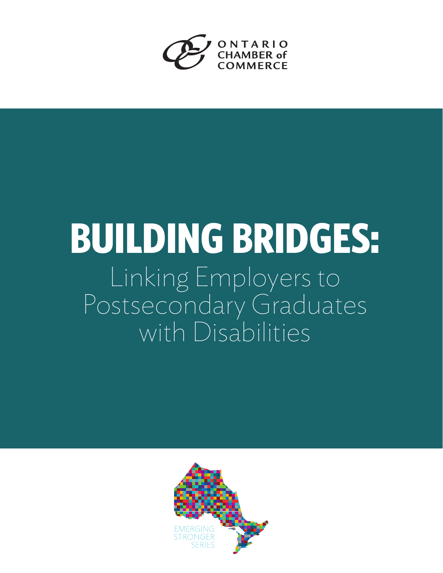

# **BUILDING BRIDGES:** Linking Employers to Postsecondary Graduates with Disabilities

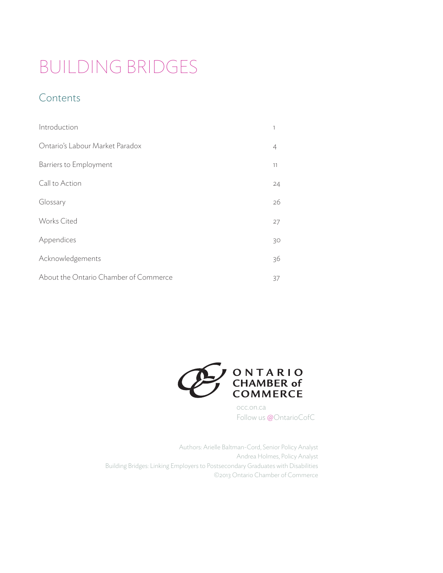# BUILDING BRIDGES

# Contents

| Introduction                          | 1  |
|---------------------------------------|----|
| Ontario's Labour Market Paradox       | 4  |
| Barriers to Employment                | 11 |
| Call to Action                        | 24 |
| Glossary                              | 26 |
| <b>Works Cited</b>                    | 27 |
| Appendices                            | 30 |
| Acknowledgements                      | 36 |
| About the Ontario Chamber of Commerce | 37 |



occ.on.ca Follow us @OntarioCofC

Authors: Arielle Baltman-Cord, Senior Policy Analyst Andrea Holmes, Policy Analyst Building Bridges: Linking Employers to Postsecondary Graduates with Disabilities ©2013 Ontario Chamber of Commerce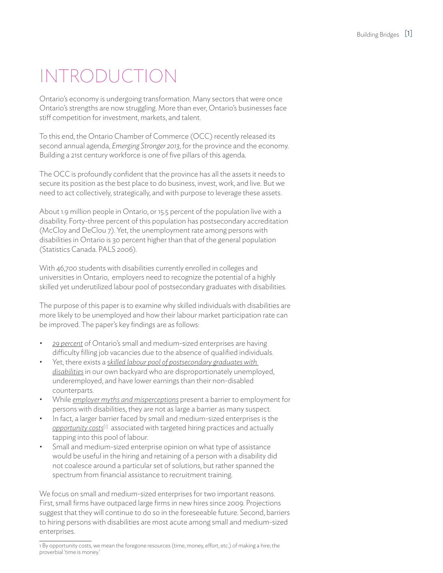# INTRODUCTION

Ontario's economy is undergoing transformation. Many sectors that were once Ontario's strengths are now struggling. More than ever, Ontario's businesses face stiff competition for investment, markets, and talent.

To this end, the Ontario Chamber of Commerce (OCC) recently released its second annual agenda, *Emerging Stronger 2013*, for the province and the economy. Building a 21st century workforce is one of five pillars of this agenda.

The OCC is profoundly confident that the province has all the assets it needs to secure its position as the best place to do business, invest, work, and live. But we need to act collectively, strategically, and with purpose to leverage these assets.

About 1.9 million people in Ontario, or 15.5 percent of the population live with a disability. Forty-three percent of this population has postsecondary accreditation (McCloy and DeClou 7). Yet, the unemployment rate among persons with disabilities in Ontario is 30 percent higher than that of the general population (Statistics Canada. PALS 2006).

With 46,700 students with disabilities currently enrolled in colleges and universities in Ontario, employers need to recognize the potential of a highly skilled yet underutilized labour pool of postsecondary graduates with disabilities.

The purpose of this paper is to examine why skilled individuals with disabilities are more likely to be unemployed and how their labour market participation rate can be improved. The paper's key findings are as follows:

- 29 percent of Ontario's small and medium-sized enterprises are having difficulty filling job vacancies due to the absence of qualified individuals.
- Yet, there exists a *skilled labour pool of postsecondary graduates with disabilities* in our own backyard who are disproportionately unemployed, underemployed, and have lower earnings than their non-disabled counterparts.
- While *employer myths and misperceptions* present a barrier to employment for persons with disabilities, they are not as large a barrier as many suspect.
- In fact, a larger barrier faced by small and medium-sized enterprises is the *opportunity costs*[1] associated with targeted hiring practices and actually tapping into this pool of labour.
- Small and medium-sized enterprise opinion on what type of assistance would be useful in the hiring and retaining of a person with a disability did not coalesce around a particular set of solutions, but rather spanned the spectrum from financial assistance to recruitment training.

We focus on small and medium-sized enterprises for two important reasons. First, small firms have outpaced large firms in new hires since 2009. Projections suggest that they will continue to do so in the foreseeable future. Second, barriers to hiring persons with disabilities are most acute among small and medium-sized enterprises.

<sup>1</sup> By opportunity costs, we mean the foregone resources (time, money, effort, etc.) of making a hire; the proverbial 'time is money.'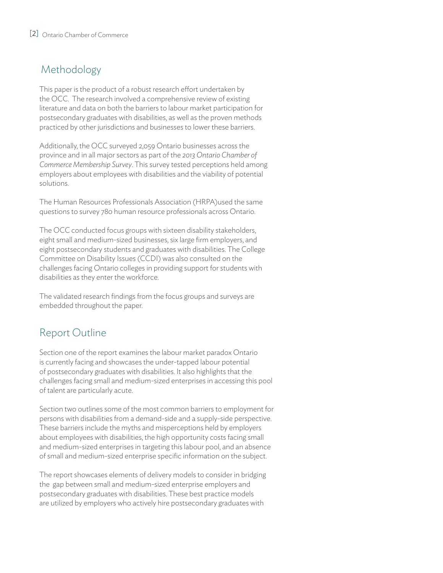# Methodology

This paper is the product of a robust research effort undertaken by the OCC. The research involved a comprehensive review of existing literature and data on both the barriers to labour market participation for postsecondary graduates with disabilities, as well as the proven methods practiced by other jurisdictions and businesses to lower these barriers.

Additionally, the OCC surveyed 2,059 Ontario businesses across the province and in all major sectors as part of the *2013 Ontario Chamber of Commerce Membership Survey*. This survey tested perceptions held among employers about employees with disabilities and the viability of potential solutions.

The Human Resources Professionals Association (HRPA)used the same questions to survey 780 human resource professionals across Ontario.

The OCC conducted focus groups with sixteen disability stakeholders, eight small and medium-sized businesses, six large firm employers, and eight postsecondary students and graduates with disabilities. The College Committee on Disability Issues (CCDI) was also consulted on the challenges facing Ontario colleges in providing support for students with disabilities as they enter the workforce.

The validated research findings from the focus groups and surveys are embedded throughout the paper.

# Report Outline

Section one of the report examines the labour market paradox Ontario is currently facing and showcases the under-tapped labour potential of postsecondary graduates with disabilities. It also highlights that the challenges facing small and medium-sized enterprises in accessing this pool of talent are particularly acute.

Section two outlines some of the most common barriers to employment for persons with disabilities from a demand-side and a supply-side perspective. These barriers include the myths and misperceptions held by employers about employees with disabilities, the high opportunity costs facing small and medium-sized enterprises in targeting this labour pool, and an absence of small and medium-sized enterprise specific information on the subject.

The report showcases elements of delivery models to consider in bridging the gap between small and medium-sized enterprise employers and postsecondary graduates with disabilities. These best practice models are utilized by employers who actively hire postsecondary graduates with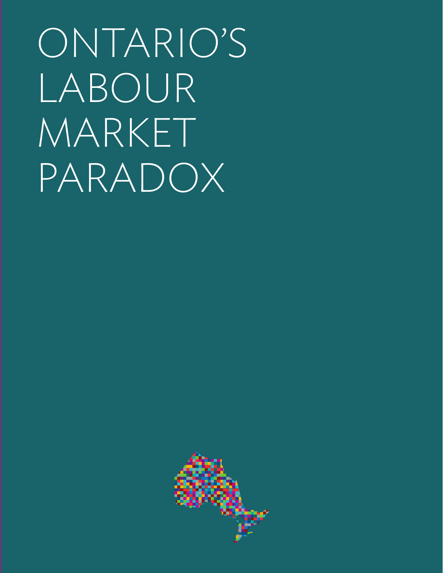ONTARIO'S LABOUR MARKET PARADOX

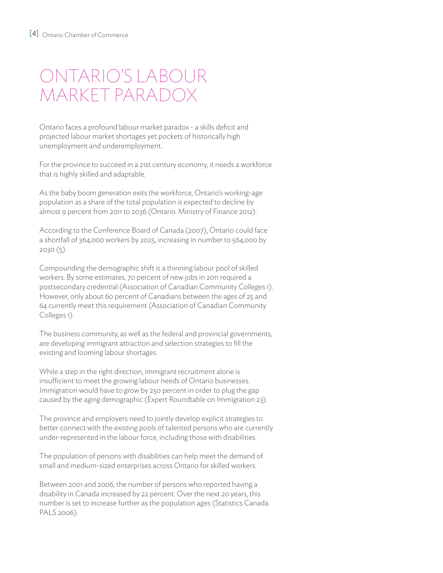# ONTARIO'S LABOUR MARKET PARADOX

Ontario faces a profound labour market paradox - a skills deficit and projected labour market shortages yet pockets of historically high unemployment and underemployment.

For the province to succeed in a 21st century economy, it needs a workforce that is highly skilled and adaptable.

As the baby boom generation exits the workforce, Ontario's working-age population as a share of the total population is expected to decline by almost 9 percent from 2011 to 2036 (Ontario. Ministry of Finance 2012).

According to the Conference Board of Canada (2007), Ontario could face a shortfall of 364,000 workers by 2025, increasing in number to 564,000 by 2030 (5).

Compounding the demographic shift is a thinning labour pool of skilled workers. By some estimates, 70 percent of new jobs in 2011 required a postsecondary credential (Association of Canadian Community Colleges 1). However, only about 60 percent of Canadians between the ages of 25 and 64 currently meet this requirement (Association of Canadian Community Colleges 1).

The business community, as well as the federal and provincial governments, are developing immigrant attraction and selection strategies to fill the existing and looming labour shortages.

While a step in the right direction, immigrant recruitment alone is insufficient to meet the growing labour needs of Ontario businesses. Immigration would have to grow by 250 percent in order to plug the gap caused by the aging demographic (Expert Roundtable on Immigration 23).

The province and employers need to jointly develop explicit strategies to better connect with the existing pools of talented persons who are currently under-represented in the labour force, including those with disabilities.

The population of persons with disabilities can help meet the demand of small and medium-sized enterprises across Ontario for skilled workers.

Between 2001 and 2006, the number of persons who reported having a disability in Canada increased by 22 percent. Over the next 20 years, this number is set to increase further as the population ages (Statistics Canada. PALS 2006).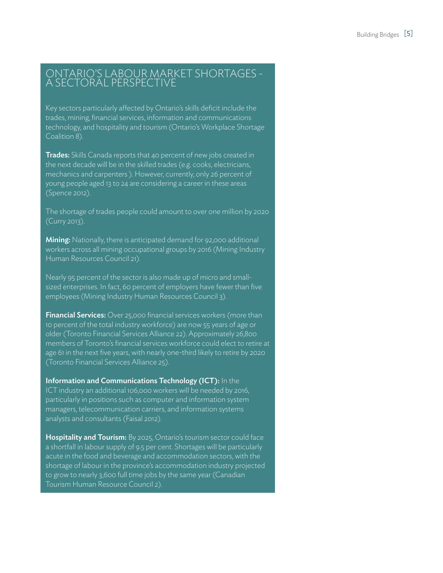#### ONTARIO'S LABOUR MARKET SHORTAGES - A SECTORAL PERSPECTIVE

Key sectors particularly affected by Ontario's skills deficit include the trades, mining, financial services, information and communications technology, and hospitality and tourism (Ontario's Workplace Shortage Coalition 8).

**Trades:** Skills Canada reports that 40 percent of new jobs created in the next decade will be in the skilled trades (e.g. cooks, electricians, mechanics and carpenters ). However, currently, only 26 percent of young people aged 13 to 24 are considering a career in these areas (Spence 2012).

The shortage of trades people could amount to over one million by 2020 (Curry 2013).

**Mining:** Nationally, there is anticipated demand for 92,000 additional workers across all mining occupational groups by 2016 (Mining Industry Human Resources Council 21).

Nearly 95 percent of the sector is also made up of micro and smallsized enterprises. In fact, 60 percent of employers have fewer than five employees (Mining Industry Human Resources Council 3).

**Financial Services:** Over 25,000 financial services workers (more than 10 percent of the total industry workforce) are now 55 years of age or older (Toronto Financial Services Alliance 22). Approximately 26,800 members of Toronto's financial services workforce could elect to retire at age 61 in the next five years, with nearly one-third likely to retire by 2020 (Toronto Financial Services Alliance 25).

Information and Communications Technology (ICT): In the ICT industry an additional 106,000 workers will be needed by 2016, particularly in positions such as computer and information system managers, telecommunication carriers, and information systems analysts and consultants (Faisal 2012).

Hospitality and Tourism: By 2025, Ontario's tourism sector could face a shortfall in labour supply of 9.5 per cent. Shortages will be particularly acute in the food and beverage and accommodation sectors, with the shortage of labour in the province's accommodation industry projected to grow to nearly 3,600 full time jobs by the same year (Canadian Tourism Human Resource Council 2).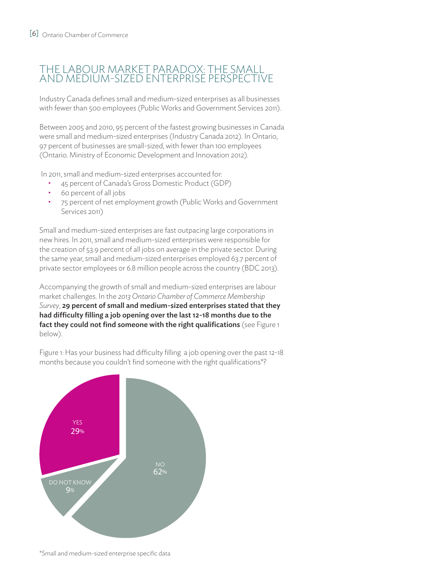### THE LABOUR MARKET PARADOX: THE SM and medium-sized enterprise PERSPECTIVE

Industry Canada defines small and medium-sized enterprises as all businesses with fewer than 500 employees (Public Works and Government Services 2011).

Between 2005 and 2010, 95 percent of the fastest growing businesses in Canada were small and medium-sized enterprises (Industry Canada 2012). In Ontario, 97 percent of businesses are small-sized, with fewer than 100 employees (Ontario. Ministry of Economic Development and Innovation 2012).

In 2011, small and medium-sized enterprises accounted for:

- 45 percent of Canada's Gross Domestic Product (GDP)
- 60 percent of all jobs
- 75 percent of net employment growth (Public Works and Government Services 2011)

Small and medium-sized enterprises are fast outpacing large corporations in new hires. In 2011, small and medium-sized enterprises were responsible for the creation of 53.9 percent of all jobs on average in the private sector. During the same year, small and medium-sized enterprises employed 63.7 percent of private sector employees or 6.8 million people across the country (BDC 2013).

Accompanying the growth of small and medium-sized enterprises are labour market challenges. In the *2013 Ontario Chamber of Commerce Membership Survey*, 29 percent of small and medium-sized enterprises stated that they had difficulty filling a job opening over the last 12-18 months due to the fact they could not find someone with the right qualifications (see Figure 1 below).

Figure 1: Has your business had difficulty filling a job opening over the past 12-18 months because you couldn't find someone with the right qualifications<sup>\*?</sup>



\*Small and medium-sized enterprise specific data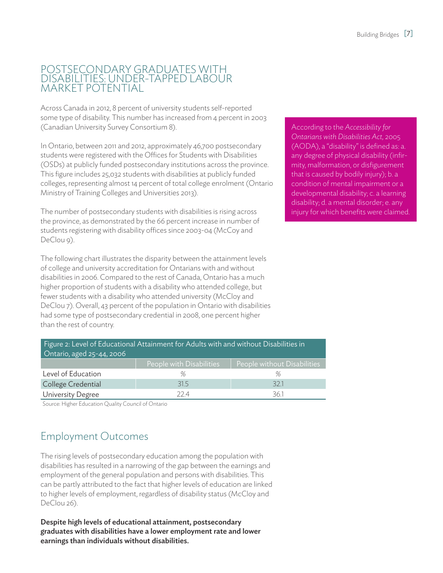#### POSTSECONDARY GRADUATES WITH DISABILITIES: UNDER-TAPPED LABOUR MARKET POTENTIAL

Across Canada in 2012, 8 percent of university students self-reported some type of disability. This number has increased from 4 percent in 2003 (Canadian University Survey Consortium 8).

In Ontario, between 2011 and 2012, approximately 46,700 postsecondary students were registered with the Offices for Students with Disabilities (OSDs) at publicly funded postsecondary institutions across the province. This figure includes 25,032 students with disabilities at publicly funded colleges, representing almost 14 percent of total college enrolment (Ontario Ministry of Training Colleges and Universities 2013).

The number of postsecondary students with disabilities is rising across the province, as demonstrated by the 66 percent increase in number of students registering with disability offices since 2003-04 (McCoy and DeClou 9).

The following chart illustrates the disparity between the attainment levels of college and university accreditation for Ontarians with and without disabilities in 2006. Compared to the rest of Canada, Ontario has a much higher proportion of students with a disability who attended college, but fewer students with a disability who attended university (McCloy and DeClou 7). Overall, 43 percent of the population in Ontario with disabilities had some type of postsecondary credential in 2008, one percent higher than the rest of country.

According to the *Accessibility for Ontarians with Disabilities Act,* 2005 (AODA), a "disability" is defined as: a. any degree of physical disability (infirmity, malformation, or disfigurement that is caused by bodily injury); b. a condition of mental impairment or a developmental disability; c. a learning disability; d. a mental disorder; e. any injury for which benefits were claimed.

| Figure 2: Level of Educational Attainment for Adults with and without Disabilities in<br>Ontario, aged 25-44, 2006 |                          |                             |
|--------------------------------------------------------------------------------------------------------------------|--------------------------|-----------------------------|
|                                                                                                                    | People with Disabilities | People without Disabilities |
| Level of Education                                                                                                 | %                        | %                           |
| College Credential                                                                                                 | 315                      | 321                         |
| <b>University Degree</b>                                                                                           | 77 A                     | 361                         |

Source: Higher Education Quality Council of Ontario

# Employment Outcomes

The rising levels of postsecondary education among the population with disabilities has resulted in a narrowing of the gap between the earnings and employment of the general population and persons with disabilities. This can be partly attributed to the fact that higher levels of education are linked to higher levels of employment, regardless of disability status (McCloy and DeClou 26).

Despite high levels of educational attainment, postsecondary graduates with disabilities have a lower employment rate and lower earnings than individuals without disabilities.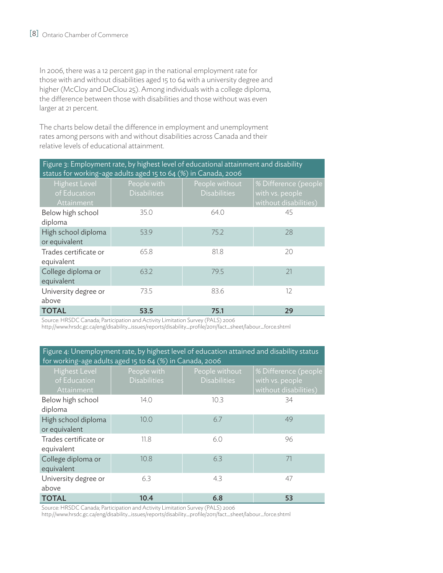In 2006, there was a 12 percent gap in the national employment rate for those with and without disabilities aged 15 to 64 with a university degree and higher (McCloy and DeClou 25). Among individuals with a college diploma, the difference between those with disabilities and those without was even larger at 21 percent.

The charts below detail the difference in employment and unemployment rates among persons with and without disabilities across Canada and their relative levels of educational attainment.

| Figure 3: Employment rate, by highest level of educational attainment and disability<br>status for working-age adults aged 15 to 64 (%) in Canada, 2006 |                                    |                                       |                                                                  |
|---------------------------------------------------------------------------------------------------------------------------------------------------------|------------------------------------|---------------------------------------|------------------------------------------------------------------|
| <b>Highest Level</b><br>of Education<br>Attainment                                                                                                      | People with<br><b>Disabilities</b> | People without<br><b>Disabilities</b> | % Difference (people<br>with vs. people<br>without disabilities) |
| Below high school<br>diploma                                                                                                                            | 35.0                               | 64.0                                  | 45                                                               |
| High school diploma<br>or equivalent                                                                                                                    | 53.9                               | 75.2                                  | 28                                                               |
| Trades certificate or<br>equivalent                                                                                                                     | 65.8                               | 81.8                                  | 20                                                               |
| College diploma or<br>equivalent                                                                                                                        | 63.2                               | 79.5                                  | 21                                                               |
| University degree or<br>above                                                                                                                           | 73.5                               | 83.6                                  | 12                                                               |
| <b>TOTAL</b>                                                                                                                                            | 53.5                               | 75.1                                  | 29                                                               |

Source: HRSDC Canada; Participation and Activity Limitation Survey (PALS) 2006

http://www.hrsdc.gc.ca/eng/disability\_issues/reports/disability\_profile/2011/fact\_sheet/labour\_force.shtml

Figure 4: Unemployment rate, by highest level of education attained and disability status for working-age adults aged 15 to 64 (%) in Canada, 2006

| Tor working-age addits aged 15 to 64 (%) in Canada, 2006 |                                    |                                       |                                                                  |
|----------------------------------------------------------|------------------------------------|---------------------------------------|------------------------------------------------------------------|
| <b>Highest Level</b><br>of Education<br>Attainment       | People with<br><b>Disabilities</b> | People without<br><b>Disabilities</b> | % Difference (people<br>with vs. people<br>without disabilities) |
| Below high school<br>diploma                             | 14.0                               | 10.3                                  | 34                                                               |
| High school diploma<br>or equivalent                     | 10.0                               | 6.7                                   | 49                                                               |
| Trades certificate or<br>equivalent                      | 11.8                               | 6.0                                   | 96                                                               |
| College diploma or<br>equivalent                         | 10.8                               | 6.3                                   | 71                                                               |
| University degree or<br>above                            | 6.3                                | 4.3                                   | 47                                                               |
| <b>TOTAL</b>                                             | 10.4                               | 6.8                                   | 53                                                               |

Source: HRSDC Canada; Participation and Activity Limitation Survey (PALS) 2006

http://www.hrsdc.gc.ca/eng/disability\_issues/reports/disability\_profile/2011/fact\_sheet/labour\_force.shtml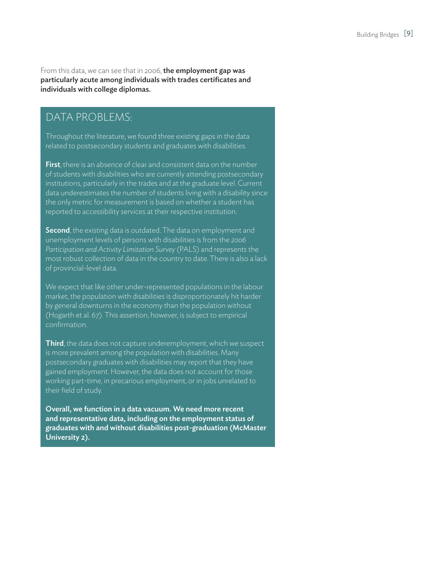From this data, we can see that in 2006, the employment gap was particularly acute among individuals with trades certificates and individuals with college diplomas.

### DATA PROBLEMS:

Throughout the literature, we found three existing gaps in the data related to postsecondary students and graduates with disabilities.

**First**, there is an absence of clear and consistent data on the number of students with disabilities who are currently attending postsecondary institutions, particularly in the trades and at the graduate level. Current data underestimates the number of students living with a disability since the only metric for measurement is based on whether a student has reported to accessibility services at their respective institution.

Second, the existing data is outdated. The data on employment and unemployment levels of persons with disabilities is from the *2006 Participation and Activity Limitation Survey* (PALS) and represents the most robust collection of data in the country to date. There is also a lack of provincial-level data.

We expect that like other under-represented populations in the labour market, the population with disabilities is disproportionately hit harder by general downturns in the economy than the population without (Hogarth et al. 67). This assertion, however, is subject to empirical confirmation.

**Third**, the data does not capture underemployment, which we suspect is more prevalent among the population with disabilities. Many postsecondary graduates with disabilities may report that they have gained employment. However, the data does not account for those working part-time, in precarious employment, or in jobs unrelated to their field of study.

Overall, we function in a data vacuum. We need more recent and representative data, including on the employment status of graduates with and without disabilities post-graduation (McMaster University 2).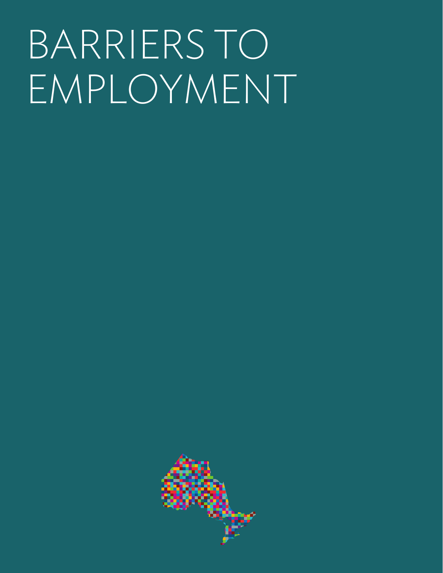# BARRIERS TO EMPLOYMENT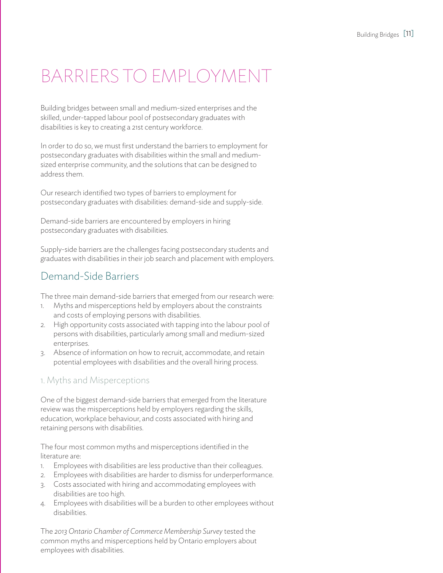# Barriers to Employment

Building bridges between small and medium-sized enterprises and the skilled, under-tapped labour pool of postsecondary graduates with disabilities is key to creating a 21st century workforce.

In order to do so, we must first understand the barriers to employment for postsecondary graduates with disabilities within the small and mediumsized enterprise community, and the solutions that can be designed to address them.

Our research identified two types of barriers to employment for postsecondary graduates with disabilities: demand-side and supply-side.

Demand-side barriers are encountered by employers in hiring postsecondary graduates with disabilities.

Supply-side barriers are the challenges facing postsecondary students and graduates with disabilities in their job search and placement with employers.

### Demand-Side Barriers

The three main demand-side barriers that emerged from our research were:

- 1. Myths and misperceptions held by employers about the constraints and costs of employing persons with disabilities.
- 2. High opportunity costs associated with tapping into the labour pool of persons with disabilities, particularly among small and medium-sized enterprises.
- 3. Absence of information on how to recruit, accommodate, and retain potential employees with disabilities and the overall hiring process.

#### 1. Myths and Misperceptions

One of the biggest demand-side barriers that emerged from the literature review was the misperceptions held by employers regarding the skills, education, workplace behaviour, and costs associated with hiring and retaining persons with disabilities.

The four most common myths and misperceptions identified in the literature are:

- 1. Employees with disabilities are less productive than their colleagues.
- 2. Employees with disabilities are harder to dismiss for underperformance.
- 3. Costs associated with hiring and accommodating employees with disabilities are too high.
- 4. Employees with disabilities will be a burden to other employees without disabilities.

The *2013 Ontario Chamber of Commerce Membership Survey* tested the common myths and misperceptions held by Ontario employers about employees with disabilities.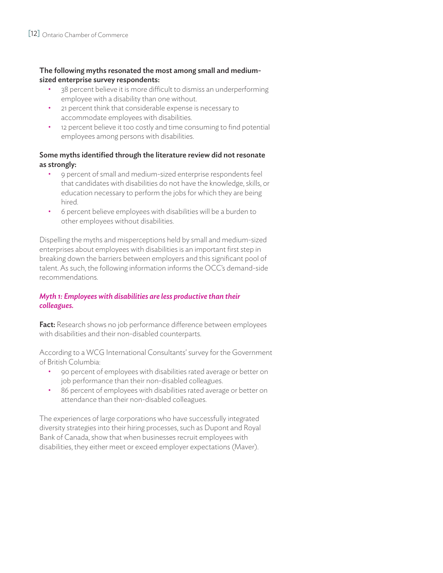#### The following myths resonated the most among small and mediumsized enterprise survey respondents:

- 38 percent believe it is more difficult to dismiss an underperforming employee with a disability than one without.
- 21 percent think that considerable expense is necessary to accommodate employees with disabilities.
- 12 percent believe it too costly and time consuming to find potential employees among persons with disabilities.

#### Some myths identified through the literature review did not resonate as strongly:

- 9 percent of small and medium-sized enterprise respondents feel that candidates with disabilities do not have the knowledge, skills, or education necessary to perform the jobs for which they are being hired.
- 6 percent believe employees with disabilities will be a burden to other employees without disabilities.

Dispelling the myths and misperceptions held by small and medium-sized enterprises about employees with disabilities is an important first step in breaking down the barriers between employers and this significant pool of talent. As such, the following information informs the OCC's demand-side recommendations.

#### *Myth 1: Employees with disabilities are less productive than their colleagues.*

**Fact:** Research shows no job performance difference between employees with disabilities and their non-disabled counterparts.

According to a WCG International Consultants' survey for the Government of British Columbia:

- 90 percent of employees with disabilities rated average or better on job performance than their non-disabled colleagues.
- 86 percent of employees with disabilities rated average or better on attendance than their non-disabled colleagues.

The experiences of large corporations who have successfully integrated diversity strategies into their hiring processes, such as Dupont and Royal Bank of Canada, show that when businesses recruit employees with disabilities, they either meet or exceed employer expectations (Maver).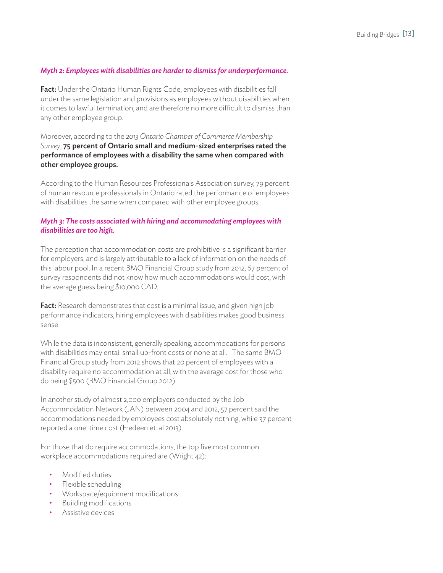#### *Myth 2: Employees with disabilities are harder to dismiss for underperformance.*

**Fact:** Under the Ontario Human Rights Code, employees with disabilities fall under the same legislation and provisions as employees without disabilities when it comes to lawful termination, and are therefore no more difficult to dismiss than any other employee group.

Moreover, according to the *2013 Ontario Chamber of Commerce Membership Survey*, 75 percent of Ontario small and medium-sized enterprises rated the performance of employees with a disability the same when compared with other employee groups.

According to the Human Resources Professionals Association survey, 79 percent of human resource professionals in Ontario rated the performance of employees with disabilities the same when compared with other employee groups.

#### *Myth 3: The costs associated with hiring and accommodating employees with disabilities are too high.*

The perception that accommodation costs are prohibitive is a significant barrier for employers, and is largely attributable to a lack of information on the needs of this labour pool. In a recent BMO Financial Group study from 2012, 67 percent of survey respondents did not know how much accommodations would cost, with the average guess being \$10,000 CAD.

Fact: Research demonstrates that cost is a minimal issue, and given high job performance indicators, hiring employees with disabilities makes good business sense.

While the data is inconsistent, generally speaking, accommodations for persons with disabilities may entail small up-front costs or none at all. The same BMO Financial Group study from 2012 shows that 20 percent of employees with a disability require no accommodation at all, with the average cost for those who do being \$500 (BMO Financial Group 2012).

In another study of almost 2,000 employers conducted by the Job Accommodation Network (JAN) between 2004 and 2012, 57 percent said the accommodations needed by employees cost absolutely nothing, while 37 percent reported a one-time cost (Fredeen et. al 2013).

For those that do require accommodations, the top five most common workplace accommodations required are (Wright 42):

- Modified duties
- Flexible scheduling
- Workspace/equipment modifications
- Building modifications
- Assistive devices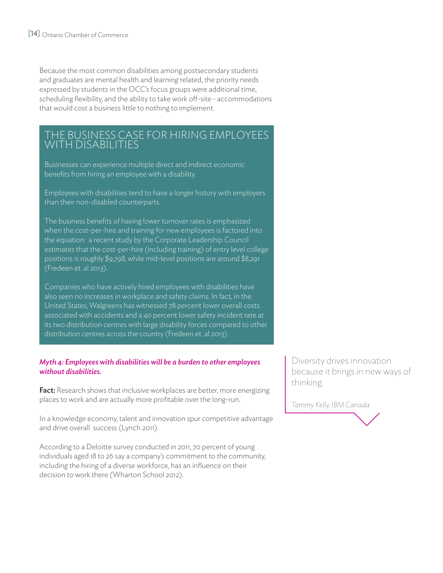Because the most common disabilities among postsecondary students and graduates are mental health and learning related, the priority needs expressed by students in the OCC's focus groups were additional time, scheduling flexibility, and the ability to take work off-site - accommodations that would cost a business little to nothing to implement.

#### THE BUSINESS CASE FOR HIRING EM with Dis

Businesses can experience multiple direct and indirect economic benefits from hiring an employee with a disability.

Employees with disabilities tend to have a longer history with employers than their non-disabled counterparts.

The business benefits of having lower turnover rates is emphasized when the cost-per-hire and training for new employees is factored into the equation: a recent study by the Corporate Leadership Council estimates that the cost-per-hire (including training) of entry level college positions is roughly \$9,798, while mid-level positions are around \$8,291 (Fredeen et. al 2013).

Companies who have actively hired employees with disabilities have also seen no increases in workplace and safety claims. In fact, in the United States, Walgreens has witnessed 78 percent lower overall costs associated with accidents and a 40 percent lower safety incident rate at its two distribution centres with large disability forces compared to other distribution centres across the country (Fredeen et. al 2013).

#### *Myth 4: Employees with disabilities will be a burden to other employees without disabilities.*

Fact: Research shows that inclusive workplaces are better, more energizing places to work and are actually more profitable over the long-run.

In a knowledge economy, talent and innovation spur competitive advantage and drive overall success (Lynch 2011).

According to a Deloitte survey conducted in 2011, 70 percent of young individuals aged 18 to 26 say a company's commitment to the community, including the hiring of a diverse workforce, has an influence on their decision to work there (Wharton School 2012).

Diversity drives innovation because it brings in new ways of thinking.

*Tammy Kelly, IBM Canada*

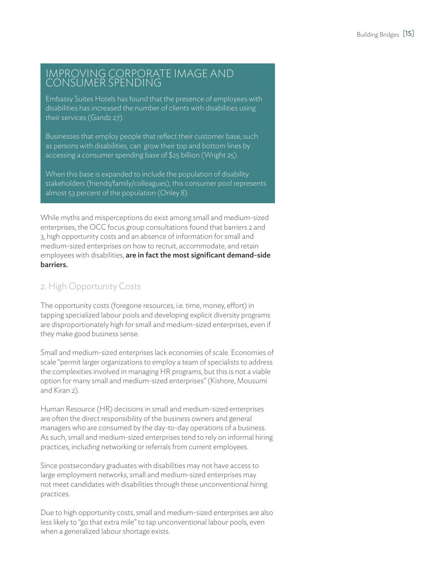#### IMPROVING CORPORATE IMAGE AND CONSUMER SPENDING

Embassy Suites Hotels has found that the presence of employees with disabilities has increased the number of clients with disabilities using their services (Gandz 27).

Businesses that employ people that reflect their customer base, such as persons with disabilities, can grow their top and bottom lines by accessing a consumer spending base of \$25 billion (Wright 25).

When this base is expanded to include the population of disability stakeholders (friends/family/colleagues), this consumer pool represents almost 53 percent of the population (Onley 8).

While myths and misperceptions do exist among small and medium-sized enterprises, the OCC focus group consultations found that barriers 2 and 3, high opportunity costs and an absence of information for small and medium-sized enterprises on how to recruit, accommodate, and retain employees with disabilities, are in fact the most significant demand-side barriers.

### 2. High Opportunity Costs

The opportunity costs (foregone resources, i.e. time, money, effort) in tapping specialized labour pools and developing explicit diversity programs are disproportionately high for small and medium-sized enterprises, even if they make good business sense.

Small and medium-sized enterprises lack economies of scale. Economies of scale "permit larger organizations to employ a team of specialists to address the complexities involved in managing HR programs, but this is not a viable option for many small and medium-sized enterprises" (Kishore, Mousumi and Kiran 2).

Human Resource (HR) decisions in small and medium-sized enterprises are often the direct responsibility of the business owners and general managers who are consumed by the day-to-day operations of a business. As such, small and medium-sized enterprises tend to rely on informal hiring practices, including networking or referrals from current employees.

Since postsecondary graduates with disabilities may not have access to large employment networks, small and medium-sized enterprises may not meet candidates with disabilities through these unconventional hiring practices.

Due to high opportunity costs, small and medium-sized enterprises are also less likely to "go that extra mile" to tap unconventional labour pools, even when a generalized labour shortage exists.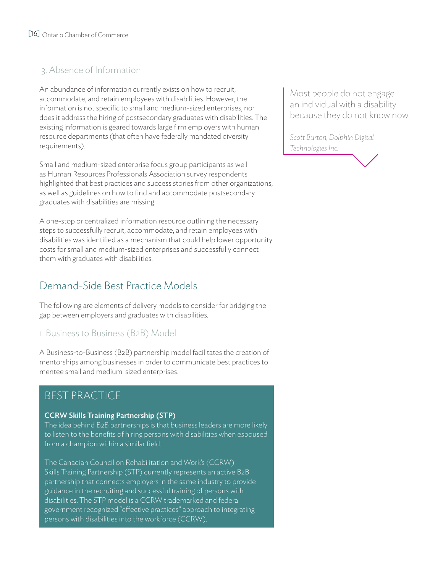### 3. Absence of Information

An abundance of information currently exists on how to recruit, accommodate, and retain employees with disabilities. However, the information is not specific to small and medium-sized enterprises, nor does it address the hiring of postsecondary graduates with disabilities. The existing information is geared towards large firm employers with human resource departments (that often have federally mandated diversity requirements).

Small and medium-sized enterprise focus group participants as well as Human Resources Professionals Association survey respondents highlighted that best practices and success stories from other organizations, as well as guidelines on how to find and accommodate postsecondary graduates with disabilities are missing.

A one-stop or centralized information resource outlining the necessary steps to successfully recruit, accommodate, and retain employees with disabilities was identified as a mechanism that could help lower opportunity costs for small and medium-sized enterprises and successfully connect them with graduates with disabilities.

# Demand-Side Best Practice Models

The following are elements of delivery models to consider for bridging the gap between employers and graduates with disabilities.

1. Business to Business (B2B) Model

A Business-to-Business (B2B) partnership model facilitates the creation of mentorships among businesses in order to communicate best practices to mentee small and medium-sized enterprises.

# BEST PRACTICE

#### CCRW Skills Training Partnership (STP)

The idea behind B2B partnerships is that business leaders are more likely to listen to the benefits of hiring persons with disabilities when espoused from a champion within a similar field.

The Canadian Council on Rehabilitation and Work's (CCRW) Skills Training Partnership (STP) currently represents an active B2B partnership that connects employers in the same industry to provide guidance in the recruiting and successful training of persons with disabilities. The STP model is a CCRW trademarked and federal government recognized "effective practices" approach to integrating persons with disabilities into the workforce (CCRW).

Most people do not engage an individual with a disability because they do not know now.

*Scott Burton, Dolphin Digital Technologies Inc.*

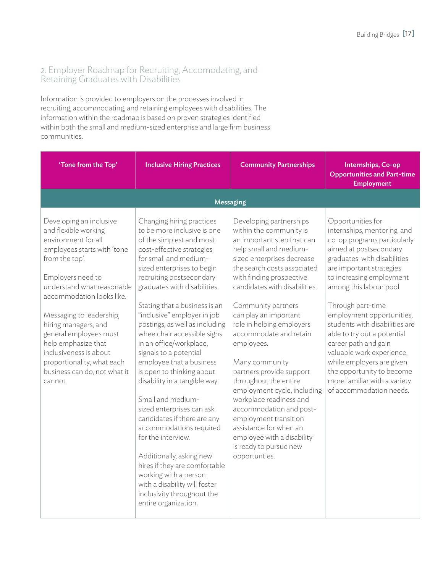#### 2. Employer Roadmap for Recruiting, Accomodating, and Retaining Graduates with Disabilities

Information is provided to employers on the processes involved in recruiting, accommodating, and retaining employees with disabilities. The information within the roadmap is based on proven strategies identified within both the small and medium-sized enterprise and large firm business communities.

| 'Tone from the Top'                                                                                                                                                                                                                                                                                                                                                                                             | <b>Inclusive Hiring Practices</b>                                                                                                                                                                                                                                                                                                                                                                                                                                                                                                                                                                                                                                                                                                                                                                                                   | <b>Community Partnerships</b>                                                                                                                                                                                                                                                                                                                                                                                                                                                                                                                                                                                                                    | Internships, Co-op<br><b>Opportunities and Part-time</b><br><b>Employment</b>                                                                                                                                                                                                                                                                                                                                                                                                                                            |
|-----------------------------------------------------------------------------------------------------------------------------------------------------------------------------------------------------------------------------------------------------------------------------------------------------------------------------------------------------------------------------------------------------------------|-------------------------------------------------------------------------------------------------------------------------------------------------------------------------------------------------------------------------------------------------------------------------------------------------------------------------------------------------------------------------------------------------------------------------------------------------------------------------------------------------------------------------------------------------------------------------------------------------------------------------------------------------------------------------------------------------------------------------------------------------------------------------------------------------------------------------------------|--------------------------------------------------------------------------------------------------------------------------------------------------------------------------------------------------------------------------------------------------------------------------------------------------------------------------------------------------------------------------------------------------------------------------------------------------------------------------------------------------------------------------------------------------------------------------------------------------------------------------------------------------|--------------------------------------------------------------------------------------------------------------------------------------------------------------------------------------------------------------------------------------------------------------------------------------------------------------------------------------------------------------------------------------------------------------------------------------------------------------------------------------------------------------------------|
|                                                                                                                                                                                                                                                                                                                                                                                                                 | <b>Messaging</b>                                                                                                                                                                                                                                                                                                                                                                                                                                                                                                                                                                                                                                                                                                                                                                                                                    |                                                                                                                                                                                                                                                                                                                                                                                                                                                                                                                                                                                                                                                  |                                                                                                                                                                                                                                                                                                                                                                                                                                                                                                                          |
| Developing an inclusive<br>and flexible working<br>environment for all<br>employees starts with 'tone<br>from the top'.<br>Employers need to<br>understand what reasonable<br>accommodation looks like.<br>Messaging to leadership,<br>hiring managers, and<br>general employees must<br>help emphasize that<br>inclusiveness is about<br>proportionality; what each<br>business can do, not what it<br>cannot. | Changing hiring practices<br>to be more inclusive is one<br>of the simplest and most<br>cost-effective strategies<br>for small and medium-<br>sized enterprises to begin<br>recruiting postsecondary<br>graduates with disabilities.<br>Stating that a business is an<br>"inclusive" employer in job<br>postings, as well as including<br>wheelchair accessible signs<br>in an office/workplace,<br>signals to a potential<br>employee that a business<br>is open to thinking about<br>disability in a tangible way.<br>Small and medium-<br>sized enterprises can ask<br>candidates if there are any<br>accommodations required<br>for the interview.<br>Additionally, asking new<br>hires if they are comfortable<br>working with a person<br>with a disability will foster<br>inclusivity throughout the<br>entire organization. | Developing partnerships<br>within the community is<br>an important step that can<br>help small and medium-<br>sized enterprises decrease<br>the search costs associated<br>with finding prospective<br>candidates with disabilities.<br>Community partners<br>can play an important<br>role in helping employers<br>accommodate and retain<br>employees.<br>Many community<br>partners provide support<br>throughout the entire<br>employment cycle, including<br>workplace readiness and<br>accommodation and post-<br>employment transition<br>assistance for when an<br>employee with a disability<br>is ready to pursue new<br>opportunties. | Opportunities for<br>internships, mentoring, and<br>co-op programs particularly<br>aimed at postsecondary<br>graduates with disabilities<br>are important strategies<br>to increasing employment<br>among this labour pool.<br>Through part-time<br>employment opportunities,<br>students with disabilities are<br>able to try out a potential<br>career path and gain<br>valuable work experience,<br>while employers are given<br>the opportunity to become<br>more familiar with a variety<br>of accommodation needs. |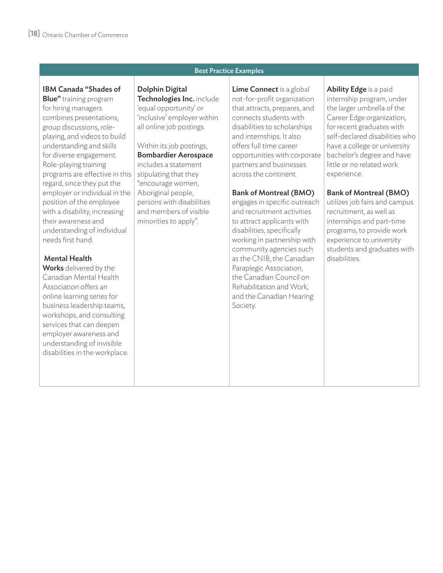#### Best Practice Examples

#### IBM Canada "Shades of

**Blue"** training program for hiring managers combines presentations, group discussions, roleplaying, and videos to build understanding and skills for diverse engagement. Role-playing training programs are effective in this regard, since they put the employer or individual in the position of the employee with a disability, increasing their awareness and understanding of individual needs first hand.

#### Mental Health

Works delivered by the Canadian Mental Health Association offers an online learning series for business leadership teams, workshops, and consulting services that can deepen employer awareness and understanding of invisible disabilities in the workplace. Dolphin Digital Technologies Inc. include 'equal opportunity' or 'inclusive' employer within all online job postings.

#### Within its job postings, Bombardier Aerospace

includes a statement stipulating that they "encourage women, Aboriginal people, persons with disabilities and members of visible minorities to apply".

Lime Connect is a global not-for-profit organization that attracts, prepares, and connects students with disabilities to scholarships and internships. It also offers full time career opportunities with corporate partners and businesses across the continent.

#### Bank of Montreal (BMO)

engages in specific outreach and recruitment activities to attract applicants with disabilities, specifically working in partnership with community agencies such as the CNIB, the Canadian Paraplegic Association, the Canadian Council on Rehabilitation and Work, and the Canadian Hearing Society.

Ability Edge is a paid internship program, under the larger umbrella of the Career Edge organization, for recent graduates with self-declared disabilities who have a college or university bachelor's degree and have little or no related work experience.

#### Bank of Montreal (BMO)

utilizes job fairs and campus recruitment, as well as internships and part-time programs, to provide work experience to university students and graduates with disabilities.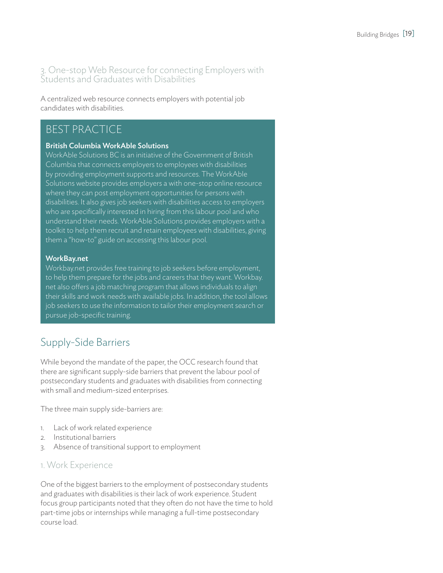#### 3. One-stop Web Resource for connecting Employers with Students and Graduates with Disabilities

A centralized web resource connects employers with potential job candidates with disabilities.

### BEST PRACTICE

#### British Columbia WorkAble Solutions

WorkAble Solutions BC is an initiative of the Government of British Columbia that connects employers to employees with disabilities by providing employment supports and resources. The WorkAble Solutions website provides employers a with one-stop online resource where they can post employment opportunities for persons with disabilities. It also gives job seekers with disabilities access to employers who are specifically interested in hiring from this labour pool and who understand their needs. WorkAble Solutions provides employers with a toolkit to help them recruit and retain employees with disabilities, giving them a "how-to" guide on accessing this labour pool.

#### WorkBay.net

Workbay.net provides free training to job seekers before employment, to help them prepare for the jobs and careers that they want. Workbay. net also offers a job matching program that allows individuals to align their skills and work needs with available jobs. In addition, the tool allows job seekers to use the information to tailor their employment search or pursue job-specific training.

# Supply-Side Barriers

While beyond the mandate of the paper, the OCC research found that there are significant supply-side barriers that prevent the labour pool of postsecondary students and graduates with disabilities from connecting with small and medium-sized enterprises.

The three main supply side-barriers are:

- 1. Lack of work related experience
- 2. Institutional barriers
- 3. Absence of transitional support to employment

#### 1. Work Experience

One of the biggest barriers to the employment of postsecondary students and graduates with disabilities is their lack of work experience. Student focus group participants noted that they often do not have the time to hold part-time jobs or internships while managing a full-time postsecondary course load.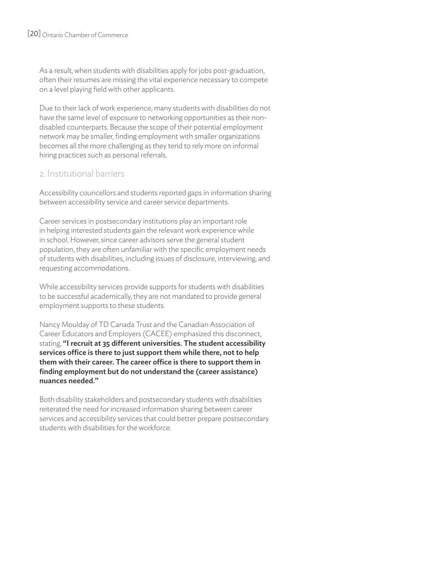As a result, when students with disabilities apply for jobs post-graduation, often their resumes are missing the vital experience necessary to compete on a level playing field with other applicants.

Due to their lack of work experience, many students with disabilities do not have the same level of exposure to networking opportunities as their nondisabled counterparts. Because the scope of their potential employment network may be smaller, finding employment with smaller organizations becomes all the more challenging as they tend to rely more on informal hiring practices such as personal referrals.

#### 2. Institutional barriers

Accessibility councellors and students reported gaps in information sharing between accessibility service and career service departments.

Career services in postsecondary institutions play an important role in helping interested students gain the relevant work experience while in school. However, since career advisors serve the general student population, they are often unfamiliar with the specific employment needs of students with disabilities, including issues of disclosure, interviewing, and requesting accommodations.

While accessibility services provide supports for students with disabilities to be successful academically, they are not mandated to provide general employment supports to these students.

Nancy Moulday of TD Canada Trust and the Canadian Association of Career Educators and Employers (CACEE) emphasized this disconnect, stating, "I recruit at 35 different universities. The student accessibility services office is there to just support them while there, not to help them with their career. The career office is there to support them in finding employment but do not understand the (career assistance) nuances needed."

Both disability stakeholders and postsecondary students with disabilities reiterated the need for increased information sharing between career services and accessibility services that could better prepare postsecondary students with disabilities for the workforce.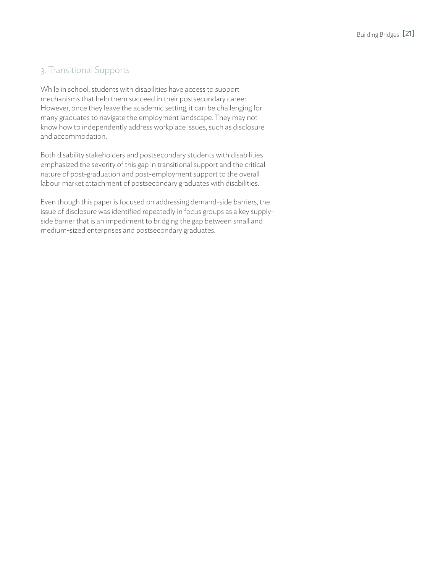### 3. Transitional Supports

While in school, students with disabilities have access to support mechanisms that help them succeed in their postsecondary career. However, once they leave the academic setting, it can be challenging for many graduates to navigate the employment landscape. They may not know how to independently address workplace issues, such as disclosure and accommodation.

Both disability stakeholders and postsecondary students with disabilities emphasized the severity of this gap in transitional support and the critical nature of post-graduation and post-employment support to the overall labour market attachment of postsecondary graduates with disabilities.

Even though this paper is focused on addressing demand-side barriers, the issue of disclosure was identified repeatedly in focus groups as a key supplyside barrier that is an impediment to bridging the gap between small and medium-sized enterprises and postsecondary graduates.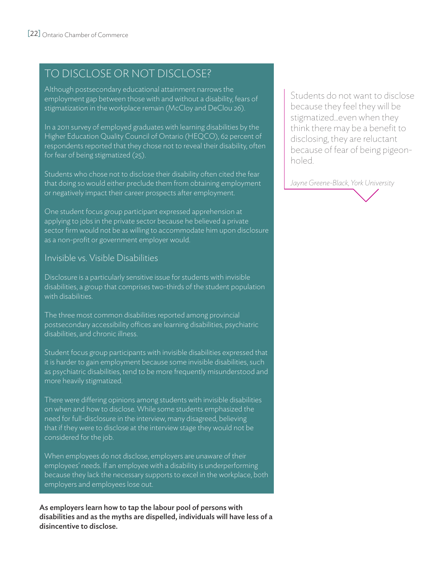# TO DISCLOSE OR NOT DISCLOSE?

Although postsecondary educational attainment narrows the employment gap between those with and without a disability, fears of stigmatization in the workplace remain (McCloy and DeClou 26).

In a 2011 survey of employed graduates with learning disabilities by the Higher Education Quality Council of Ontario (HEQCO), 62 percent of respondents reported that they chose not to reveal their disability, often for fear of being stigmatized (25).

Students who chose not to disclose their disability often cited the fear that doing so would either preclude them from obtaining employment or negatively impact their career prospects after employment.

One student focus group participant expressed apprehension at applying to jobs in the private sector because he believed a private sector firm would not be as willing to accommodate him upon disclosure as a non-profit or government employer would.

#### Invisible vs. Visible Disabilities

Disclosure is a particularly sensitive issue for students with invisible disabilities, a group that comprises two-thirds of the student population with disabilities.

The three most common disabilities reported among provincial postsecondary accessibility offices are learning disabilities, psychiatric disabilities, and chronic illness.

Student focus group participants with invisible disabilities expressed that it is harder to gain employment because some invisible disabilities, such as psychiatric disabilities, tend to be more frequently misunderstood and more heavily stigmatized.

There were differing opinions among students with invisible disabilities on when and how to disclose. While some students emphasized the need for full-disclosure in the interview, many disagreed, believing that if they were to disclose at the interview stage they would not be considered for the job.

When employees do not disclose, employers are unaware of their employees' needs. If an employee with a disability is underperforming because they lack the necessary supports to excel in the workplace, both employers and employees lose out.

As employers learn how to tap the labour pool of persons with disabilities and as the myths are dispelled, individuals will have less of a disincentive to disclose.

Students do not want to disclose because they feel they will be stigmatized...even when they think there may be a benefit to disclosing, they are reluctant because of fear of being pigeonholed.

*Jayne Greene-Black, York University*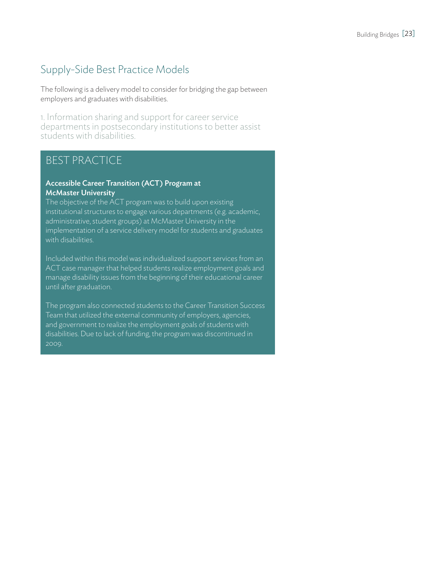# Supply-Side Best Practice Models

The following is a delivery model to consider for bridging the gap between employers and graduates with disabilities.

1. Information sharing and support for career service departments in postsecondary institutions to better assist students with disabilities.

### BEST PRACTICE

#### Accessible Career Transition (ACT) Program at McMaster University

The objective of the ACT program was to build upon existing institutional structures to engage various departments (e.g. academic, administrative, student groups) at McMaster University in the implementation of a service delivery model for students and graduates with disabilities.

Included within this model was individualized support services from an ACT case manager that helped students realize employment goals and manage disability issues from the beginning of their educational career until after graduation.

The program also connected students to the Career Transition Success Team that utilized the external community of employers, agencies, and government to realize the employment goals of students with disabilities. Due to lack of funding, the program was discontinued in 2009.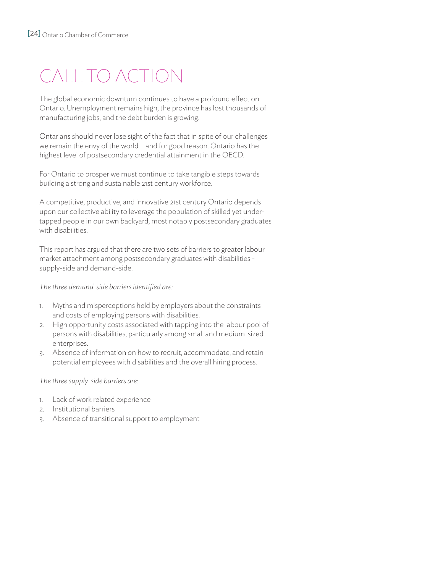# CALL TO ACTION

The global economic downturn continues to have a profound effect on Ontario. Unemployment remains high, the province has lost thousands of manufacturing jobs, and the debt burden is growing.

Ontarians should never lose sight of the fact that in spite of our challenges we remain the envy of the world—and for good reason. Ontario has the highest level of postsecondary credential attainment in the OECD.

For Ontario to prosper we must continue to take tangible steps towards building a strong and sustainable 21st century workforce.

A competitive, productive, and innovative 21st century Ontario depends upon our collective ability to leverage the population of skilled yet undertapped people in our own backyard, most notably postsecondary graduates with disabilities.

This report has argued that there are two sets of barriers to greater labour market attachment among postsecondary graduates with disabilities supply-side and demand-side.

*The three demand-side barriers identified are:*

- 1. Myths and misperceptions held by employers about the constraints and costs of employing persons with disabilities.
- 2. High opportunity costs associated with tapping into the labour pool of persons with disabilities, particularly among small and medium-sized enterprises.
- 3. Absence of information on how to recruit, accommodate, and retain potential employees with disabilities and the overall hiring process.

*The three supply-side barriers are:*

- 1. Lack of work related experience
- 2. Institutional barriers
- 3. Absence of transitional support to employment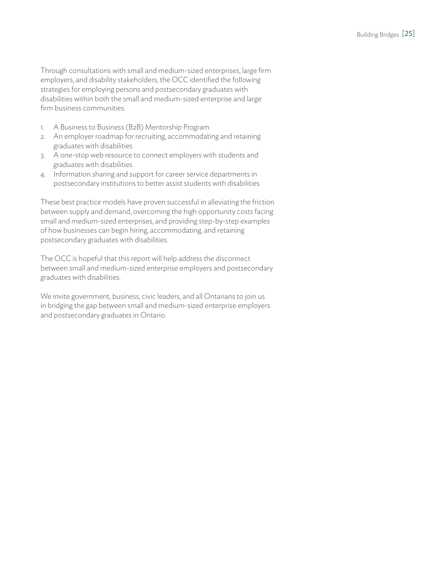Through consultations with small and medium-sized enterprises, large firm employers, and disability stakeholders, the OCC identified the following strategies for employing persons and postsecondary graduates with disabilities within both the small and medium-sized enterprise and large firm business communities:

- 1. A Business to Business (B2B) Mentorship Program
- 2. An employer roadmap for recruiting, accommodating and retaining graduates with disabilities
- 3. A one-stop web resource to connect employers with students and graduates with disabilities
- 4. Information sharing and support for career service departments in postsecondary institutions to better assist students with disabilities

These best practice models have proven successful in alleviating the friction between supply and demand, overcoming the high opportunity costs facing small and medium-sized enterprises, and providing step-by-step examples of how businesses can begin hiring, accommodating, and retaining postsecondary graduates with disabilities.

The OCC is hopeful that this report will help address the disconnect between small and medium-sized enterprise employers and postsecondary graduates with disabilities.

We invite government, business, civic leaders, and all Ontarians to join us in bridging the gap between small and medium-sized enterprise employers and postsecondary graduates in Ontario.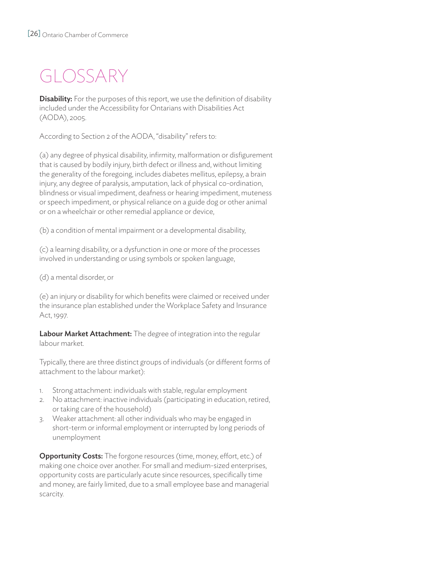# GLOSSARY

**Disability:** For the purposes of this report, we use the definition of disability included under the Accessibility for Ontarians with Disabilities Act (AODA), 2005.

According to Section 2 of the AODA, "disability" refers to:

(a) any degree of physical disability, infirmity, malformation or disfigurement that is caused by bodily injury, birth defect or illness and, without limiting the generality of the foregoing, includes diabetes mellitus, epilepsy, a brain injury, any degree of paralysis, amputation, lack of physical co-ordination, blindness or visual impediment, deafness or hearing impediment, muteness or speech impediment, or physical reliance on a guide dog or other animal or on a wheelchair or other remedial appliance or device,

(b) a condition of mental impairment or a developmental disability,

(c) a learning disability, or a dysfunction in one or more of the processes involved in understanding or using symbols or spoken language,

(d) a mental disorder, or

(e) an injury or disability for which benefits were claimed or received under the insurance plan established under the Workplace Safety and Insurance Act, 1997.

Labour Market Attachment: The degree of integration into the regular labour market.

Typically, there are three distinct groups of individuals (or different forms of attachment to the labour market):

- 1. Strong attachment: individuals with stable, regular employment
- 2. No attachment: inactive individuals (participating in education, retired, or taking care of the household)
- 3. Weaker attachment: all other individuals who may be engaged in short-term or informal employment or interrupted by long periods of unemployment

**Opportunity Costs:** The forgone resources (time, money, effort, etc.) of making one choice over another. For small and medium-sized enterprises, opportunity costs are particularly acute since resources, specifically time and money, are fairly limited, due to a small employee base and managerial scarcity.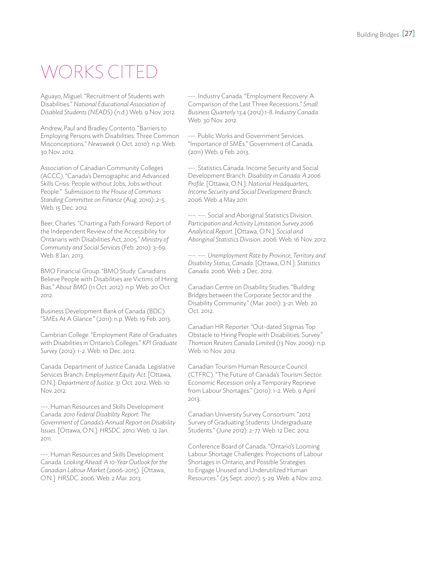# WORKS CITED

Aguayo, Miguel. "Recruitment of Students with Disabilities." *National Educational Association of Disabled Students (NEADS)* (n.d.) Web. 9 Nov. 2012.

Andrew, Paul and Bradley Contento. "Barriers to Employing Persons with Disabilities: Three Common Misconceptions." *Newsweek* (1 Oct. 2010): n.p. Web. 30 Nov. 2012.

Association of Canadian Community Colleges (ACCC). "Canada's Demographic and Advanced Skills Crisis: People without Jobs, Jobs without People." S*ubmission to the House of Commons Standing Committee on Finance* (Aug. 2010): 2-5. Web. 15 Dec. 2012.

Beer, Charles. "Charting a Path Forward: Report of the Independent Review of the Accessibility for Ontarians with Disabilities Act, 2005." *Ministry of Community and Social Services* (Feb. 2010): 3-69. Web. 8 Jan. 2013.

BMO Financial Group. "BMO Study: Canadians Believe People with Disabilities are Victims of Hiring Bias." *About BMO* (11 Oct. 2012): n.p. Web. 20 Oct. 2012.

Business Development Bank of Canada (BDC). "SMEs At A Glance." (2011): n.p. Web. 19 Feb. 2013.

Cambrian College. "Employment Rate of Graduates with Disabilities in Ontario's Colleges." *KPI Graduate Survey* (2012): 1-2. Web. 10 Dec. 2012.

Canada. Department of Justice Canada. Legislative Services Branch. *Employment Equity Act*. [Ottawa, O.N.]: *Department of Justice*. 31 Oct. 2012. Web. 10 Nov. 2012.

---. Human Resources and Skills Development Canada. *2010 Federal Disability Report: The Government of Canada's Annual Report on Disability Issues*. [Ottawa, O.N.]: *HRSDC*. 2010. Web. 12 Jan. 2011.

---. Human Resources and Skills Development Canada. *Looking Ahead: A 10-Year Outlook for the Canadian Labour Market* (2006-2015). [Ottawa, O.N.]: *HRSDC*. 2006. Web. 2 Mar. 2013.

---. Industry Canada. "Employment Recovery: A Comparison of the Last Three Recessions." *Small Business Quarterly* 13.4 (2012):1-8. *Industry Canada*. Web. 30 Nov. 2012.

---. Public Works and Government Services. "Importance of SMEs." Government of Canada. (2011) Web. 9 Feb. 2013.

---. Statistics Canada. Income Security and Social Development Branch. *Disability in Canada: A 2006 Profile*. [Ottawa, O.N.]: *National Headquarters, Income Security and Social Development Branch.* 2006. Web. 4 May 2011.

---. ---. Social and Aboriginal Statistics Division. *Participation and Activity Limitation Survey 2006: Analytical Report*. [Ottawa, O.N.]: *Social and Aboriginal Statistics Division*. 2006. Web. 16 Nov. 2012.

---. ---. *Unemployment Rate by Province, Territory and Disability Status, Canada*. [Ottawa, O.N.]: *Statistics Canada*. 2006. Web. 2 Dec. 2012.

Canadian Centre on Disability Studies. "Building Bridges between the Corporate Sector and the Disability Community." (Mar. 2001): 3-21. Web. 20 Oct. 2012.

Canadian HR Reporter. "Out-dated Stigmas Top Obstacle to Hiring People with Disabilities: Survey." *Thomson Reuters Canada Limited* (13 Nov. 2009): n.p. Web. 10 Nov. 2012.

Canadian Tourism Human Resource Council (CTFRC). "The Future of Canada's Tourism Sector: Economic Recession only a Temporary Reprieve from Labour Shortages." (2010): 1-2. Web. 9 April 2013.

Canadian University Survey Consortium. "2012 Survey of Graduating Students: Undergraduate Students." (June 2012): 2-77. Web. 12 Dec. 2012.

Conference Board of Canada. "Ontario's Looming Labour Shortage Challenges: Projections of Labour Shortages in Ontario, and Possible Strategies to Engage Unused and Underutilized Human Resources." (25 Sept. 2007): 5-29. Web. 4 Nov. 2012.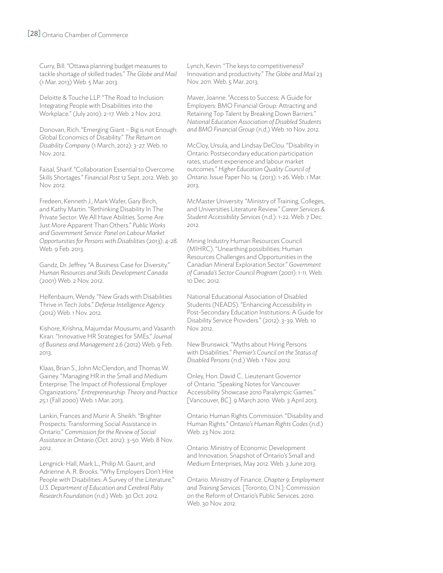#### [28] Ontario Chamber of Commerce

Curry, Bill. "Ottawa planning budget measures to tackle shortage of skilled trades." *The Globe and Mail* (1 Mar. 2013) Web. 5 Mar. 2013.

Deloitte & Touche LLP. "The Road to Inclusion: Integrating People with Disabilities into the Workplace." (July 2010): 2-17. Web. 2 Nov. 2012.

Donovan, Rich. "Emerging Giant – Big is not Enough: Global Economics of Disability." *The Return on Disability Company* (1 March, 2012): 3-27. Web. 10 Nov. 2012.

Faisal, Sharif. "Collaboration Essential to Overcome Skills Shortages." *Financial Post* 12 Sept. 2012. Web. 30 Nov. 2012.

Fredeen, Kenneth J., Mark Wafer, Gary Birch, and Kathy Martin. "Rethinking Disability In The Private Sector: We All Have Abilities. Some Are Just More Apparent Than Others." *Public Works and Government Service: Panel on Labour Market Opportunities for Persons with Disabilities* (2013): 4-28. Web. 9 Feb. 2013.

Gandz, Dr. Jeffrey. "A Business Case for Diversity." *Human Resources and Skills Development Canada*  (2001) Web. 2 Nov. 2012.

Helfenbaum, Wendy. "New Grads with Disabilities Thrive in Tech Jobs." *Defense Intelligence Agency*  (2012) Web. 1 Nov. 2012.

Kishore, Krishna, Majumdar Mousumi, and Vasanth Kiran. "Innovative HR Strategies for SMEs." *Journal of Business and Management* 2.6 (2012) Web. 9 Feb. 2013.

Klaas, Brian S., John McClendon, and Thomas W. Gainey. "Managing HR in the Small and Medium Enterprise: The Impact of Professional Employer Organizations." *Entrepreneurship: Theory and Practice* 25.1 (Fall 2000) Web. 1 Mar. 2013.

Lankin, Frances and Munir A. Sheikh. "Brighter Prospects: Transforming Social Assistance in Ontario." *Commission for the Review of Social Assistance in Ontario* (Oct. 2012): 3-50. Web. 8 Nov. 2012.

Lengnick-Hall, Mark L., Philip M. Gaunt, and Adrienne A. R. Brooks. "Why Employers Don't Hire People with Disabilities: A Survey of the Literature." *U.S. Department of Education and Cerebral Palsy Research Foundation* (n.d.) Web. 30 Oct. 2012.

Lynch, Kevin. "The keys to competitiveness? Innovation and productivity." *The Globe and Mail* 23 Nov. 2011. Web. 5 Mar. 2013.

Maver, Joanne. "Access to Success: A Guide for Employers: BMO Financial Group: Attracting and Retaining Top Talent by Breaking Down Barriers." *National Education Association of Disabled Students and BMO Financial Group* (n.d.) Web. 10 Nov. 2012.

McCloy, Ursula, and Lindsay DeClou. "Disability in Ontario: Postsecondary education participation rates, student experience and labour market outcomes." *Higher Education Quality Council of Ontario.* Issue Paper No. 14. (2013): 1-26. Web. 1 Mar. 2013.

McMaster University. "Ministry of Training, Colleges, and Universities Literature Review." *Career Services & Student Accessibility Services* (n.d.): 1-22. Web. 7 Dec. 2012.

Mining Industry Human Resources Council (MIHRC). "Unearthing possibilities: Human Resources Challenges and Opportunities in the Canadian Mineral Exploration Sector." *Government of Canada's Sector Council Program* (2001): 1-11. Web. 10 Dec. 2012.

National Educational Association of Disabled Students (NEADS). "Enhancing Accessibility in Post-Secondary Education Institutions: A Guide for Disability Service Providers." (2012): 3-39. Web. 10 Nov. 2012.

New Brunswick. "Myths about Hiring Persons with Disabilities." *Premier's Council on the Status of Disabled Persons* (n.d.) Web. 1 Nov. 2012.

Onley, Hon. David C.. Lieutenant Governor of Ontario. "Speaking Notes for Vancouver Accessibility Showcase 2010 Paralympic Games." [Vancouver, BC]: 9 March 2010. Web. 3 April 2013.

Ontario Human Rights Commission. "Disability and Human Rights." *Ontario's Human Rights Codes* (n.d.) Web. 23 Nov. 2012.

Ontario. Ministry of Economic Development and Innovation. Snapshot of Ontario's Small and Medium Enterprises, May 2012. Web. 3 June 2013.

Ontario. Ministry of Finance. *Chapter 9: Employment and Training Services*. [Toronto, O.N.]: Commission on the Reform of Ontario's Public Services. 2010. Web. 30 Nov. 2012.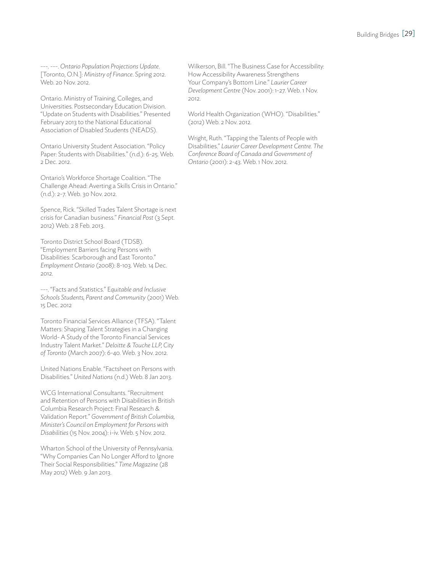---. ---. *Ontario Population Projections Update*. [Toronto, O.N.]: *Ministry of Finance*. Spring 2012. Web. 20 Nov. 2012.

Ontario. Ministry of Training, Colleges, and Universities. Postsecondary Education Division. "Update on Students with Disabilities." Presented February 2013 to the National Educational Association of Disabled Students (NEADS).

Ontario University Student Association. "Policy Paper: Students with Disabilities." (n.d.): 6-25. Web. 2 Dec. 2012.

Ontario's Workforce Shortage Coalition. "The Challenge Ahead: Averting a Skills Crisis in Ontario." (n.d.): 2-7. Web. 30 Nov. 2012.

Spence, Rick. "Skilled Trades Talent Shortage is next crisis for Canadian business." *Financial Post* (3 Sept. 2012) Web. 2 8 Feb. 2013.

Toronto District School Board (TDSB). "Employment Barriers facing Persons with Disabilities: Scarborough and East Toronto." *Employment Ontario* (2008): 8-103. Web. 14 Dec. 2012.

---. "Facts and Statistics." E*quitable and Inclusive Schools Students, Parent and Community* (2001) Web. 15 Dec. 2012

Toronto Financial Services Alliance (TFSA). "Talent Matters: Shaping Talent Strategies in a Changing World- A Study of the Toronto Financial Services Industry Talent Market." *Deloitte & Touche LLP, City of Toronto* (March 2007): 6-40. Web. 3 Nov. 2012.

United Nations Enable. "Factsheet on Persons with Disabilities." *United Nations* (n.d.) Web. 8 Jan 2013.

WCG International Consultants. "Recruitment and Retention of Persons with Disabilities in British Columbia Research Project: Final Research & Validation Report." *Government of British Columbia, Minister's Council on Employment for Persons with Disabilities* (15 Nov. 2004): i-iv. Web. 5 Nov. 2012.

Wharton School of the University of Pennsylvania. "Why Companies Can No Longer Afford to Ignore Their Social Responsibilities." *Time Magazine* (28 May 2012) Web. 9 Jan 2013.

Wilkerson, Bill. "The Business Case for Accessibility: How Accessibility Awareness Strengthens Your Company's Bottom Line." *Laurier Career Development Centre* (Nov. 2001): 1-27. Web. 1 Nov. 2012.

World Health Organization (WHO). "Disabilities." (2012) Web. 2 Nov. 2012.

Wright, Ruth. "Tapping the Talents of People with Disabilities." *Laurier Career Development Centre. The Conference Board of Canada and Government of Ontario* (2001): 2-43. Web. 1 Nov. 2012.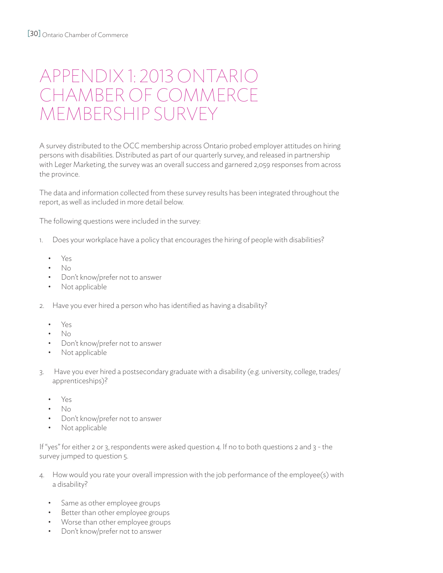# APPENDIX 1: 2013 ONTARIO CHAMBER OF COMMERCE MEMBERSHIP SURVEY

A survey distributed to the OCC membership across Ontario probed employer attitudes on hiring persons with disabilities. Distributed as part of our quarterly survey, and released in partnership with Leger Marketing, the survey was an overall success and garnered 2,059 responses from across the province.

The data and information collected from these survey results has been integrated throughout the report, as well as included in more detail below.

The following questions were included in the survey:

- 1. Does your workplace have a policy that encourages the hiring of people with disabilities?
	- • Yes
	- • No
	- Don't know/prefer not to answer
	- Not applicable
- 2. Have you ever hired a person who has identified as having a disability?
	- • Yes
	- • No
	- Don't know/prefer not to answer
	- Not applicable
- 3. Have you ever hired a postsecondary graduate with a disability (e.g. university, college, trades/ apprenticeships)?
	- • Yes
	- • No
	- Don't know/prefer not to answer
	- Not applicable

If "yes" for either 2 or 3, respondents were asked question 4. If no to both questions 2 and 3 - the survey jumped to question 5.

- 4. How would you rate your overall impression with the job performance of the employee(s) with a disability?
	- Same as other employee groups
	- Better than other employee groups
	- Worse than other employee groups
	- • Don't know/prefer not to answer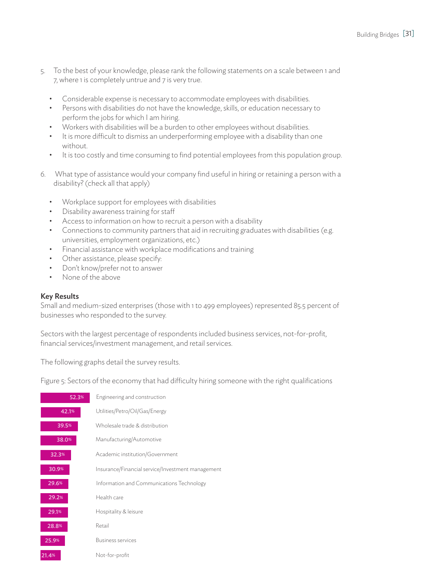- 5. To the best of your knowledge, please rank the following statements on a scale between 1 and 7, where 1 is completely untrue and 7 is very true.
	- Considerable expense is necessary to accommodate employees with disabilities.
	- Persons with disabilities do not have the knowledge, skills, or education necessary to perform the jobs for which I am hiring.
	- Workers with disabilities will be a burden to other employees without disabilities.
	- • It is more difficult to dismiss an underperforming employee with a disability than one without.
	- • It is too costly and time consuming to find potential employees from this population group.
- 6. What type of assistance would your company find useful in hiring or retaining a person with a disability? (check all that apply)
	- • Workplace support for employees with disabilities
	- • Disability awareness training for staff
	- Access to information on how to recruit a person with a disability
	- Connections to community partners that aid in recruiting graduates with disabilities (e.g. universities, employment organizations, etc.)
	- • Financial assistance with workplace modifications and training
	- Other assistance, please specify:
	- Don't know/prefer not to answer
	- None of the above

#### Key Results

Small and medium-sized enterprises (those with 1 to 499 employees) represented 85.5 percent of businesses who responded to the survey.

Sectors with the largest percentage of respondents included business services, not-for-profit, financial services/investment management, and retail services.

The following graphs detail the survey results.

Figure 5: Sectors of the economy that had difficulty hiring someone with the right qualifications

| 52.3% | Engineering and construction                      |
|-------|---------------------------------------------------|
| 42.1% | Utilities/Petro/Oil/Gas/Energy                    |
| 39.5% | Wholesale trade & distribution                    |
| 38.0% | Manufacturing/Automotive                          |
| 32.3% | Academic institution/Government                   |
| 30.9% | Insurance/Financial service/Investment management |
| 29.6% | Information and Communications Technology         |
| 29.2% | Health care                                       |
| 29.1% | Hospitality & leisure                             |
| 28.8% | Retail                                            |
| 25.9% | <b>Business services</b>                          |
| 21.4% | Not-for-profit                                    |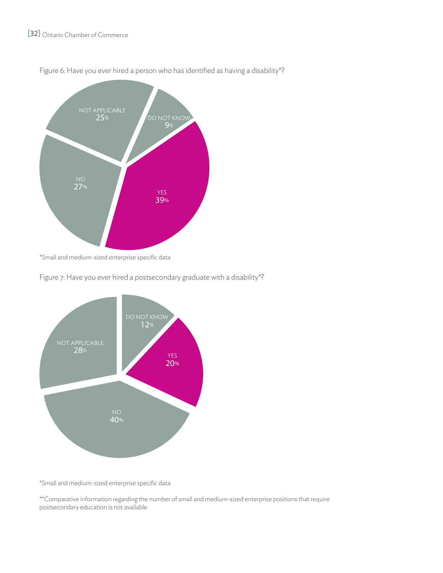

Figure 6: Have you ever hired a person who has identified as having a disability\*?

\*Small and medium-sized enterprise specific data

Figure 7: Have you ever hired a postsecondary graduate with a disability\*?



\*Small and medium-sized enterprise specific data

\*\*Comparative information regarding the number of small and medium-sized enterprise positions that require postsecondary education is not available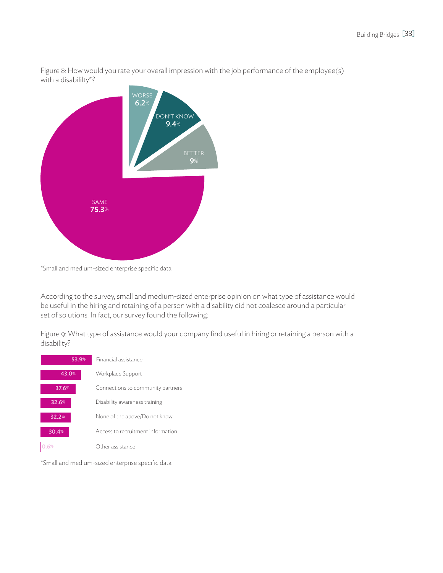Figure 8: How would you rate your overall impression with the job performance of the employee(s) with a disabililty\*?



\*Small and medium-sized enterprise specific data

According to the survey, small and medium-sized enterprise opinion on what type of assistance would be useful in the hiring and retaining of a person with a disability did not coalesce around a particular set of solutions. In fact, our survey found the following:

Figure 9: What type of assistance would your company find useful in hiring or retaining a person with a disability?



\*Small and medium-sized enterprise specific data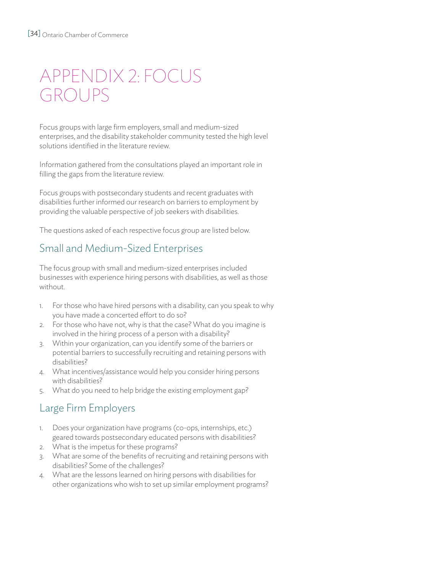# APPENDIX 2: FOCUS GROUPS

Focus groups with large firm employers, small and medium-sized enterprises, and the disability stakeholder community tested the high level solutions identified in the literature review.

Information gathered from the consultations played an important role in filling the gaps from the literature review.

Focus groups with postsecondary students and recent graduates with disabilities further informed our research on barriers to employment by providing the valuable perspective of job seekers with disabilities.

The questions asked of each respective focus group are listed below.

# Small and Medium-Sized Enterprises

The focus group with small and medium-sized enterprises included businesses with experience hiring persons with disabilities, as well as those without.

- 1. For those who have hired persons with a disability, can you speak to why you have made a concerted effort to do so?
- 2. For those who have not, why is that the case? What do you imagine is involved in the hiring process of a person with a disability?
- 3. Within your organization, can you identify some of the barriers or potential barriers to successfully recruiting and retaining persons with disabilities?
- 4. What incentives/assistance would help you consider hiring persons with disabilities?
- 5. What do you need to help bridge the existing employment gap?

# Large Firm Employers

- 1. Does your organization have programs (co-ops, internships, etc.) geared towards postsecondary educated persons with disabilities?
- 2. What is the impetus for these programs?
- 3. What are some of the benefits of recruiting and retaining persons with disabilities? Some of the challenges?
- 4. What are the lessons learned on hiring persons with disabilities for other organizations who wish to set up similar employment programs?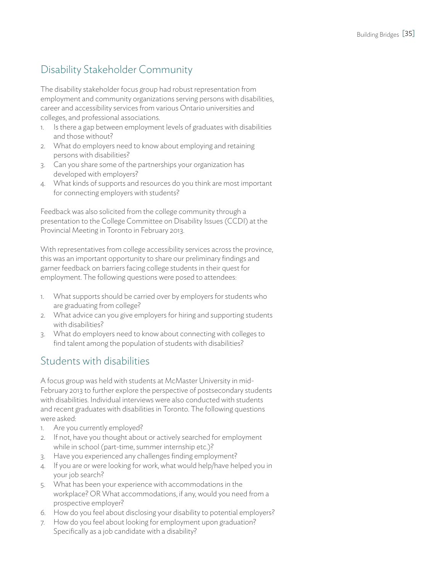# Disability Stakeholder Community

The disability stakeholder focus group had robust representation from employment and community organizations serving persons with disabilities, career and accessibility services from various Ontario universities and colleges, and professional associations.

- 1. Is there a gap between employment levels of graduates with disabilities and those without?
- 2. What do employers need to know about employing and retaining persons with disabilities?
- 3. Can you share some of the partnerships your organization has developed with employers?
- 4. What kinds of supports and resources do you think are most important for connecting employers with students?

Feedback was also solicited from the college community through a presentation to the College Committee on Disability Issues (CCDI) at the Provincial Meeting in Toronto in February 2013.

With representatives from college accessibility services across the province, this was an important opportunity to share our preliminary findings and garner feedback on barriers facing college students in their quest for employment. The following questions were posed to attendees:

- 1. What supports should be carried over by employers for students who are graduating from college?
- 2. What advice can you give employers for hiring and supporting students with disabilities?
- 3. What do employers need to know about connecting with colleges to find talent among the population of students with disabilities?

# Students with disabilities

A focus group was held with students at McMaster University in mid-February 2013 to further explore the perspective of postsecondary students with disabilities. Individual interviews were also conducted with students and recent graduates with disabilities in Toronto. The following questions were asked:

- 1. Are you currently employed?
- 2. If not, have you thought about or actively searched for employment while in school (part-time, summer internship etc.)?
- 3. Have you experienced any challenges finding employment?
- 4. If you are or were looking for work, what would help/have helped you in your job search?
- 5. What has been your experience with accommodations in the workplace? OR What accommodations, if any, would you need from a prospective employer?
- 6. How do you feel about disclosing your disability to potential employers?
- 7. How do you feel about looking for employment upon graduation? Specifically as a job candidate with a disability?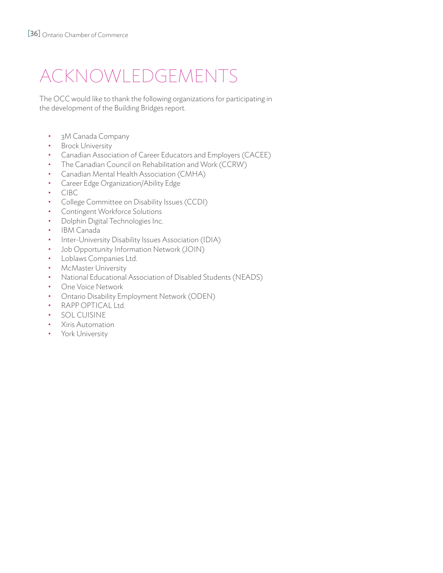# Acknowledgements

The OCC would like to thank the following organizations for participating in the development of the Building Bridges report.

- 3M Canada Company
- Brock University
- Canadian Association of Career Educators and Employers (CACEE)
- The Canadian Council on Rehabilitation and Work (CCRW)
- Canadian Mental Health Association (CMHA)
- Career Edge Organization/Ability Edge
- CIBC
- College Committee on Disability Issues (CCDI)
- Contingent Workforce Solutions
- Dolphin Digital Technologies Inc.
- IBM Canada
- Inter-University Disability Issues Association (IDIA)
- Job Opportunity Information Network (JOIN)
- Loblaws Companies Ltd.
- McMaster University
- National Educational Association of Disabled Students (NEADS)
- One Voice Network
- Ontario Disability Employment Network (ODEN)
- RAPP OPTICAL Ltd.
- SOL CUISINE
- Xiris Automation
- York University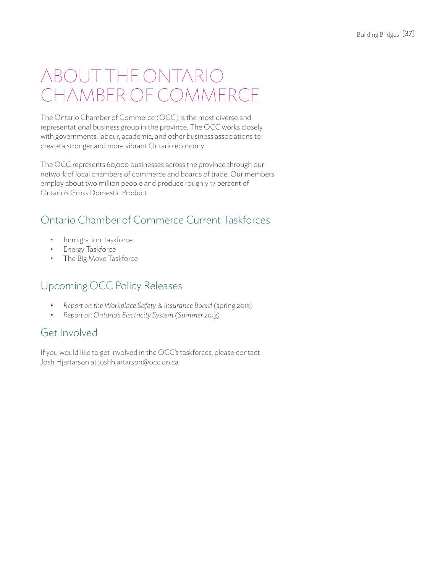# About the Ontario Chamber of Commerce

The Ontario Chamber of Commerce (OCC) is the most diverse and representational business group in the province. The OCC works closely with governments, labour, academia, and other business associations to create a stronger and more vibrant Ontario economy.

The OCC represents 60,000 businesses across the province through our network of local chambers of commerce and boards of trade. Our members employ about two million people and produce roughly 17 percent of Ontario's Gross Domestic Product.

# Ontario Chamber of Commerce Current Taskforces

- Immigration Taskforce
- Energy Taskforce
- The Big Move Taskforce

# Upcoming OCC Policy Releases

- *Report on the Workplace Safety & Insurance Board (spring 2013)*
- *• Report on Ontario's Electricity System (Summer 2013)*

### Get Involved

If you would like to get involved in the OCC's taskforces, please contact Josh Hjartarson at joshhjartarson@occ.on.ca